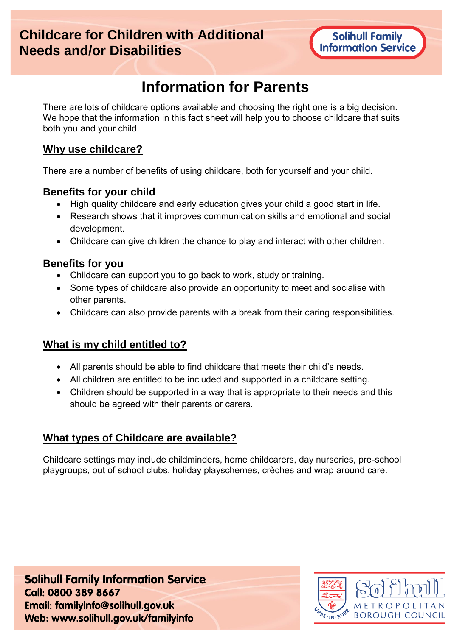# **Childcare for Children with Additional Needs and/or Disabilities**

# **Information for Parents**

There are lots of childcare options available and choosing the right one is a big decision. We hope that the information in this fact sheet will help you to choose childcare that suits both you and your child.

#### **Why use childcare?**

There are a number of benefits of using childcare, both for yourself and your child.

#### **Benefits for your child**

- High quality childcare and early education gives your child a good start in life.
- Research shows that it improves communication skills and emotional and social development.
- Childcare can give children the chance to play and interact with other children.

#### **Benefits for you**

- Childcare can support you to go back to work, study or training.
- Some types of childcare also provide an opportunity to meet and socialise with other parents.
- Childcare can also provide parents with a break from their caring responsibilities.

#### **What is my child entitled to?**

- All parents should be able to find childcare that meets their child's needs.
- All children are entitled to be included and supported in a childcare setting.
- Children should be supported in a way that is appropriate to their needs and this should be agreed with their parents or carers.

#### **What types of Childcare are available?**

Childcare settings may include childminders, home childcarers, day nurseries, pre-school playgroups, out of school clubs, holiday playschemes, crèches and wrap around care.

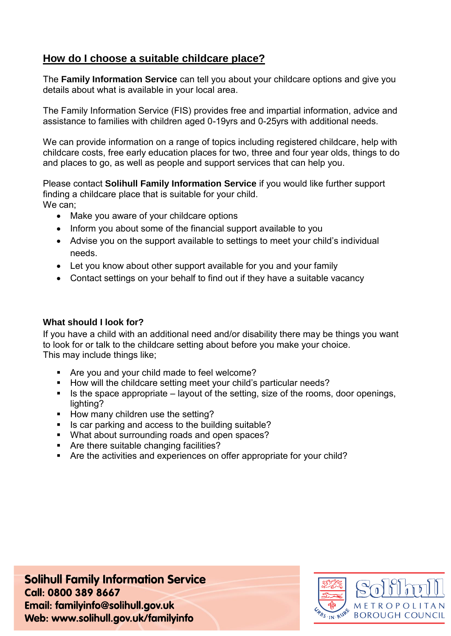### **How do I choose a suitable childcare place?**

The **Family Information Service** can tell you about your childcare options and give you details about what is available in your local area.

The Family Information Service (FIS) provides free and impartial information, advice and assistance to families with children aged 0-19yrs and 0-25yrs with additional needs.

We can provide information on a range of topics including registered childcare, help with childcare costs, free early education places for two, three and four year olds, things to do and places to go, as well as people and support services that can help you.

Please contact **Solihull Family Information Service** if you would like further support finding a childcare place that is suitable for your child. We can;

- Make you aware of your childcare options
- Inform you about some of the financial support available to you
- Advise you on the support available to settings to meet your child's individual needs.
- Let you know about other support available for you and your family
- Contact settings on your behalf to find out if they have a suitable vacancy

#### **What should I look for?**

If you have a child with an additional need and/or disability there may be things you want to look for or talk to the childcare setting about before you make your choice. This may include things like;

- Are you and your child made to feel welcome?
- How will the childcare setting meet your child's particular needs?
- Is the space appropriate  $-$  layout of the setting, size of the rooms, door openings, lighting?
- How many children use the setting?
- Is car parking and access to the building suitable?
- What about surrounding roads and open spaces?
- Are there suitable changing facilities?
- Are the activities and experiences on offer appropriate for your child?

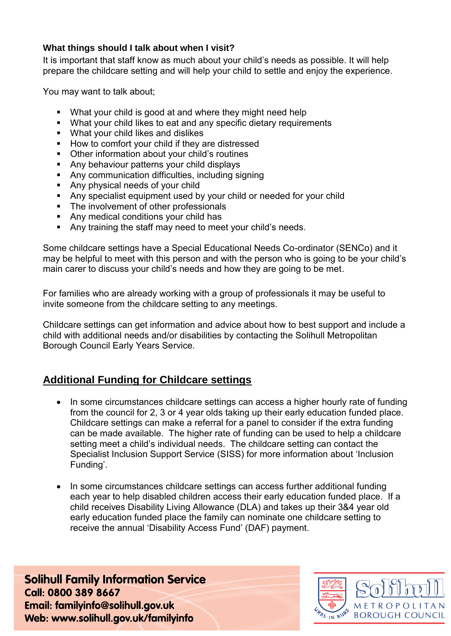#### **What things should I talk about when I visit?**

It is important that staff know as much about your child's needs as possible. It will help prepare the childcare setting and will help your child to settle and enjoy the experience.

You may want to talk about;

- What your child is good at and where they might need help
- What your child likes to eat and any specific dietary requirements
- **What your child likes and dislikes**
- How to comfort your child if they are distressed
- Other information about your child's routines
- **Any behaviour patterns your child displays**
- Any communication difficulties, including signing
- **Any physical needs of your child**
- Any specialist equipment used by your child or needed for your child
- The involvement of other professionals
- Any medical conditions your child has
- **Any training the staff may need to meet your child's needs.**

Some childcare settings have a Special Educational Needs Co-ordinator (SENCo) and it may be helpful to meet with this person and with the person who is going to be your child's main carer to discuss your child's needs and how they are going to be met.

For families who are already working with a group of professionals it may be useful to invite someone from the childcare setting to any meetings.

Childcare settings can get information and advice about how to best support and include a child with additional needs and/or disabilities by contacting the Solihull Metropolitan Borough Council Early Years Service.

## **Additional Funding for Childcare settings**

- In some circumstances childcare settings can access a higher hourly rate of funding from the council for 2, 3 or 4 year olds taking up their early education funded place. Childcare settings can make a referral for a panel to consider if the extra funding can be made available. The higher rate of funding can be used to help a childcare setting meet a child's individual needs. The childcare setting can contact the Specialist Inclusion Support Service (SISS) for more information about 'Inclusion Funding'.
- In some circumstances childcare settings can access further additional funding each year to help disabled children access their early education funded place. If a child receives Disability Living Allowance (DLA) and takes up their 3&4 year old early education funded place the family can nominate one childcare setting to receive the annual 'Disability Access Fund' (DAF) payment.

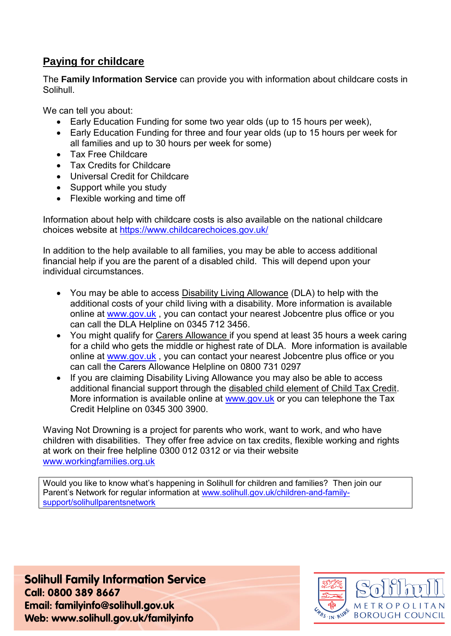## **Paying for childcare**

The **Family Information Service** can provide you with information about childcare costs in Solihull.

We can tell you about:

- Early Education Funding for some two year olds (up to 15 hours per week),
- Early Education Funding for three and four year olds (up to 15 hours per week for all families and up to 30 hours per week for some)
- Tax Free Childcare
- Tax Credits for Childcare
- Universal Credit for Childcare
- Support while you study
- Flexible working and time off

Information about help with childcare costs is also available on the national childcare choices website at<https://www.childcarechoices.gov.uk/>

In addition to the help available to all families, you may be able to access additional financial help if you are the parent of a disabled child. This will depend upon your individual circumstances.

- You may be able to access Disability Living Allowance (DLA) to help with the additional costs of your child living with a disability. More information is available online at [www.gov.uk](http://www.gov.uk/) , you can contact your nearest Jobcentre plus office or you can call the DLA Helpline on 0345 712 3456.
- You might qualify for Carers Allowance if you spend at least 35 hours a week caring for a child who gets the middle or highest rate of DLA. More information is available online at [www.gov.uk](http://www.gov.uk/) , you can contact your nearest Jobcentre plus office or you can call the Carers Allowance Helpline on 0800 731 0297
- If you are claiming Disability Living Allowance you may also be able to access additional financial support through the disabled child element of Child Tax Credit. More information is available online at [www.gov.uk](http://www.gov.uk/) or you can telephone the Tax Credit Helpline on 0345 300 3900.

Waving Not Drowning is a project for parents who work, want to work, and who have children with disabilities. They offer free advice on tax credits, flexible working and rights at work on their free helpline 0300 012 0312 or via their website [www.workingfamilies.org.uk](http://www.workingfamilies.org.uk/)

Would you like to know what's happening in Solihull for children and families? Then join our Parent's Network for regular information at [www.solihull.gov.uk/children-and-family](http://www.solihull.gov.uk/children-and-family-support/solihullparentsnetwork)[support/solihullparentsnetwork](http://www.solihull.gov.uk/children-and-family-support/solihullparentsnetwork)